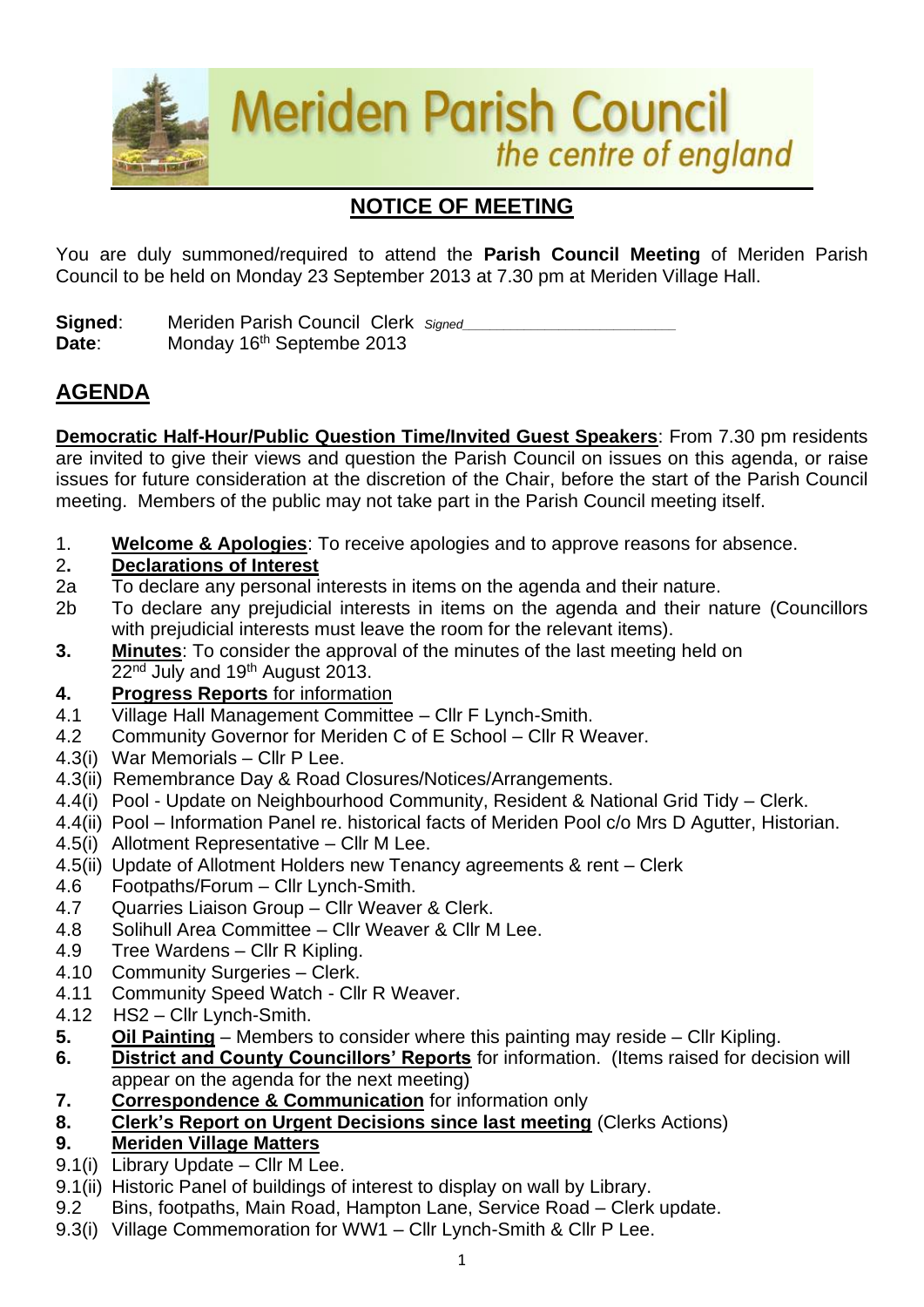

# **NOTICE OF MEETING**

You are duly summoned/required to attend the **Parish Council Meeting** of Meriden Parish Council to be held on Monday 23 September 2013 at 7.30 pm at Meriden Village Hall.

**Signed:** Meriden Parish Council Clerk *Signed* Date: Monday 16<sup>th</sup> Septembe 2013

# **AGENDA**

**Democratic Half-Hour/Public Question Time/Invited Guest Speakers**: From 7.30 pm residents are invited to give their views and question the Parish Council on issues on this agenda, or raise issues for future consideration at the discretion of the Chair, before the start of the Parish Council meeting. Members of the public may not take part in the Parish Council meeting itself.

1. **Welcome & Apologies**: To receive apologies and to approve reasons for absence.

### 2**. Declarations of Interest**

- 2a To declare any personal interests in items on the agenda and their nature.
- 2b To declare any prejudicial interests in items on the agenda and their nature (Councillors with prejudicial interests must leave the room for the relevant items).
- **3. Minutes**: To consider the approval of the minutes of the last meeting held on 22<sup>nd</sup> July and 19<sup>th</sup> August 2013.

### **4. Progress Reports** for information

- 4.1 Village Hall Management Committee Cllr F Lynch-Smith.
- 4.2 Community Governor for Meriden C of E School Cllr R Weaver.
- 4.3(i) War Memorials Cllr P Lee.
- 4.3(ii) Remembrance Day & Road Closures/Notices/Arrangements.
- 4.4(i) Pool Update on Neighbourhood Community, Resident & National Grid Tidy Clerk.
- 4.4(ii) Pool Information Panel re. historical facts of Meriden Pool c/o Mrs D Agutter, Historian.
- 4.5(i) Allotment Representative Cllr M Lee.
- 4.5(ii) Update of Allotment Holders new Tenancy agreements & rent Clerk
- 4.6 Footpaths/Forum Cllr Lynch-Smith.
- 4.7 Quarries Liaison Group Cllr Weaver & Clerk.
- 4.8 Solihull Area Committee Cllr Weaver & Cllr M Lee.
- 4.9 Tree Wardens Cllr R Kipling.
- 4.10 Community Surgeries Clerk.
- 4.11 Community Speed Watch Cllr R Weaver.
- 4.12 HS2 Cllr Lynch-Smith.
- **5. Oil Painting** Members to consider where this painting may reside Cllr Kipling.
- **6. District and County Councillors' Reports** for information. (Items raised for decision will appear on the agenda for the next meeting)
- **7. Correspondence & Communication** for information only
- **8. Clerk's Report on Urgent Decisions since last meeting** (Clerks Actions)

### **9. Meriden Village Matters**

- 9.1(i) Library Update Cllr M Lee.
- 9.1(ii) Historic Panel of buildings of interest to display on wall by Library.
- 9.2 Bins, footpaths, Main Road, Hampton Lane, Service Road Clerk update.
- 9.3(i) Village Commemoration for WW1 Cllr Lynch-Smith & Cllr P Lee.